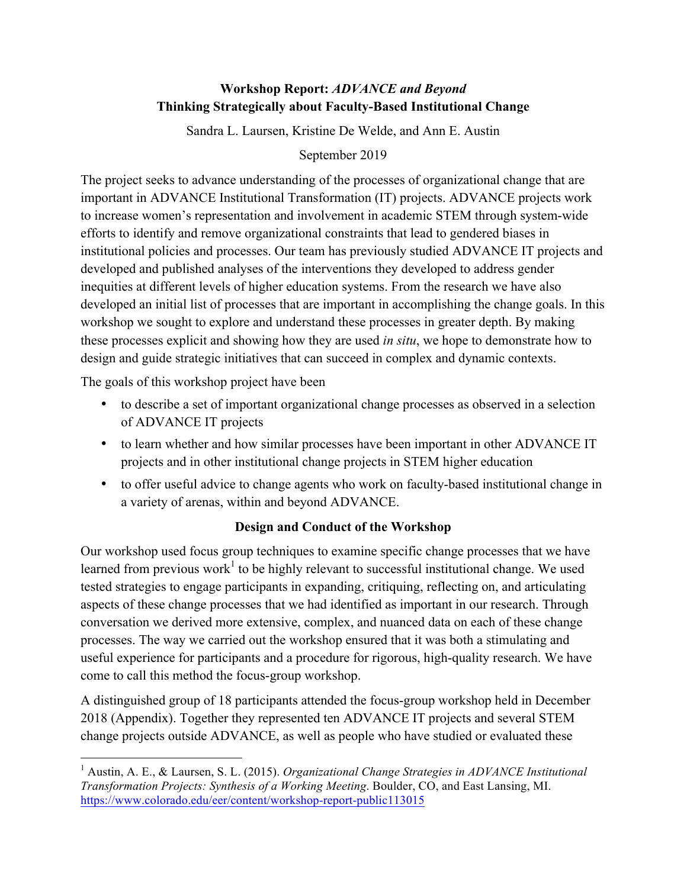# **Workshop Report:** *ADVANCE and Beyond* **Thinking Strategically about Faculty-Based Institutional Change**

Sandra L. Laursen, Kristine De Welde, and Ann E. Austin

# September 2019

The project seeks to advance understanding of the processes of organizational change that are important in ADVANCE Institutional Transformation (IT) projects. ADVANCE projects work to increase women's representation and involvement in academic STEM through system-wide efforts to identify and remove organizational constraints that lead to gendered biases in institutional policies and processes. Our team has previously studied ADVANCE IT projects and developed and published analyses of the interventions they developed to address gender inequities at different levels of higher education systems. From the research we have also developed an initial list of processes that are important in accomplishing the change goals. In this workshop we sought to explore and understand these processes in greater depth. By making these processes explicit and showing how they are used *in situ*, we hope to demonstrate how to design and guide strategic initiatives that can succeed in complex and dynamic contexts.

The goals of this workshop project have been

- to describe a set of important organizational change processes as observed in a selection of ADVANCE IT projects
- to learn whether and how similar processes have been important in other ADVANCE IT projects and in other institutional change projects in STEM higher education
- to offer useful advice to change agents who work on faculty-based institutional change in a variety of arenas, within and beyond ADVANCE.

# **Design and Conduct of the Workshop**

Our workshop used focus group techniques to examine specific change processes that we have learned from previous work<sup>1</sup> to be highly relevant to successful institutional change. We used tested strategies to engage participants in expanding, critiquing, reflecting on, and articulating aspects of these change processes that we had identified as important in our research. Through conversation we derived more extensive, complex, and nuanced data on each of these change processes. The way we carried out the workshop ensured that it was both a stimulating and useful experience for participants and a procedure for rigorous, high-quality research. We have come to call this method the focus-group workshop.

A distinguished group of 18 participants attended the focus-group workshop held in December 2018 (Appendix). Together they represented ten ADVANCE IT projects and several STEM change projects outside ADVANCE, as well as people who have studied or evaluated these

 <sup>1</sup> Austin, A. E., & Laursen, S. L. (2015). *Organizational Change Strategies in ADVANCE Institutional Transformation Projects: Synthesis of a Working Meeting*. Boulder, CO, and East Lansing, MI. https://www.colorado.edu/eer/content/workshop-report-public113015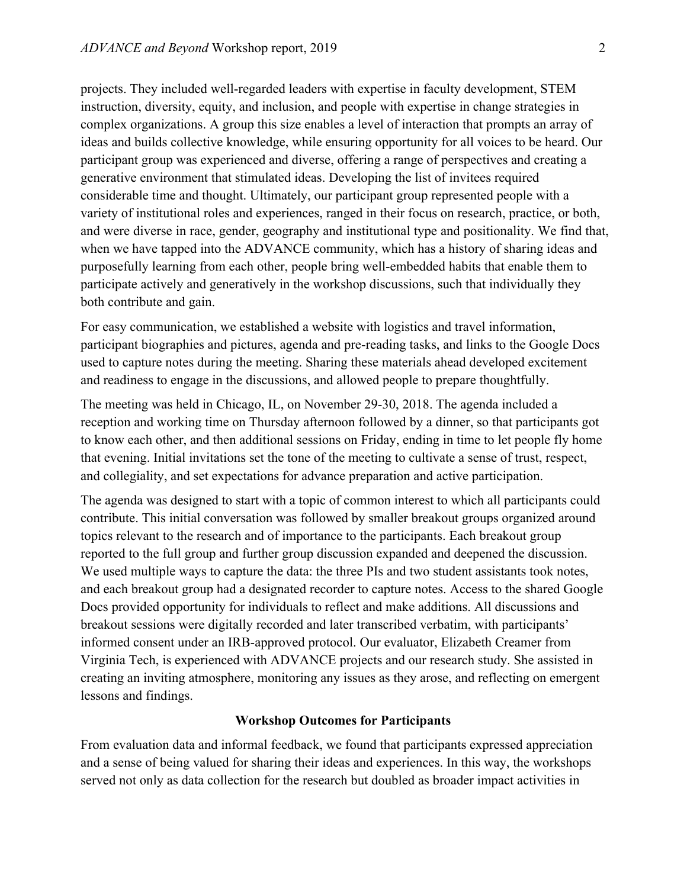projects. They included well-regarded leaders with expertise in faculty development, STEM instruction, diversity, equity, and inclusion, and people with expertise in change strategies in complex organizations. A group this size enables a level of interaction that prompts an array of ideas and builds collective knowledge, while ensuring opportunity for all voices to be heard. Our participant group was experienced and diverse, offering a range of perspectives and creating a generative environment that stimulated ideas. Developing the list of invitees required considerable time and thought. Ultimately, our participant group represented people with a variety of institutional roles and experiences, ranged in their focus on research, practice, or both, and were diverse in race, gender, geography and institutional type and positionality. We find that, when we have tapped into the ADVANCE community, which has a history of sharing ideas and purposefully learning from each other, people bring well-embedded habits that enable them to participate actively and generatively in the workshop discussions, such that individually they both contribute and gain.

For easy communication, we established a website with logistics and travel information, participant biographies and pictures, agenda and pre-reading tasks, and links to the Google Docs used to capture notes during the meeting. Sharing these materials ahead developed excitement and readiness to engage in the discussions, and allowed people to prepare thoughtfully.

The meeting was held in Chicago, IL, on November 29-30, 2018. The agenda included a reception and working time on Thursday afternoon followed by a dinner, so that participants got to know each other, and then additional sessions on Friday, ending in time to let people fly home that evening. Initial invitations set the tone of the meeting to cultivate a sense of trust, respect, and collegiality, and set expectations for advance preparation and active participation.

The agenda was designed to start with a topic of common interest to which all participants could contribute. This initial conversation was followed by smaller breakout groups organized around topics relevant to the research and of importance to the participants. Each breakout group reported to the full group and further group discussion expanded and deepened the discussion. We used multiple ways to capture the data: the three PIs and two student assistants took notes, and each breakout group had a designated recorder to capture notes. Access to the shared Google Docs provided opportunity for individuals to reflect and make additions. All discussions and breakout sessions were digitally recorded and later transcribed verbatim, with participants' informed consent under an IRB-approved protocol. Our evaluator, Elizabeth Creamer from Virginia Tech, is experienced with ADVANCE projects and our research study. She assisted in creating an inviting atmosphere, monitoring any issues as they arose, and reflecting on emergent lessons and findings.

### **Workshop Outcomes for Participants**

From evaluation data and informal feedback, we found that participants expressed appreciation and a sense of being valued for sharing their ideas and experiences. In this way, the workshops served not only as data collection for the research but doubled as broader impact activities in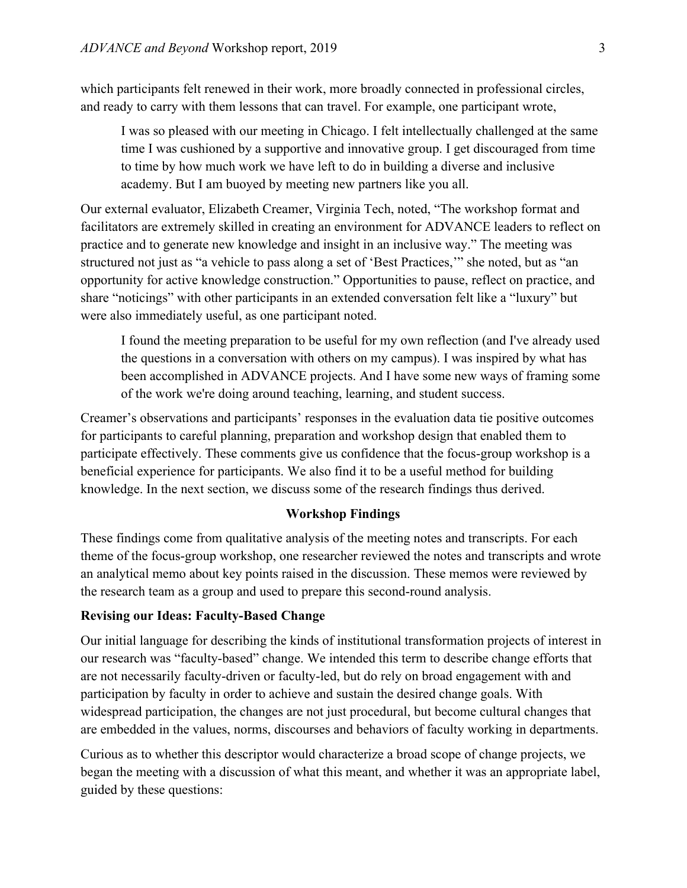which participants felt renewed in their work, more broadly connected in professional circles, and ready to carry with them lessons that can travel. For example, one participant wrote,

I was so pleased with our meeting in Chicago. I felt intellectually challenged at the same time I was cushioned by a supportive and innovative group. I get discouraged from time to time by how much work we have left to do in building a diverse and inclusive academy. But I am buoyed by meeting new partners like you all.

Our external evaluator, Elizabeth Creamer, Virginia Tech, noted, "The workshop format and facilitators are extremely skilled in creating an environment for ADVANCE leaders to reflect on practice and to generate new knowledge and insight in an inclusive way." The meeting was structured not just as "a vehicle to pass along a set of 'Best Practices,'" she noted, but as "an opportunity for active knowledge construction." Opportunities to pause, reflect on practice, and share "noticings" with other participants in an extended conversation felt like a "luxury" but were also immediately useful, as one participant noted.

I found the meeting preparation to be useful for my own reflection (and I've already used the questions in a conversation with others on my campus). I was inspired by what has been accomplished in ADVANCE projects. And I have some new ways of framing some of the work we're doing around teaching, learning, and student success.

Creamer's observations and participants' responses in the evaluation data tie positive outcomes for participants to careful planning, preparation and workshop design that enabled them to participate effectively. These comments give us confidence that the focus-group workshop is a beneficial experience for participants. We also find it to be a useful method for building knowledge. In the next section, we discuss some of the research findings thus derived.

# **Workshop Findings**

These findings come from qualitative analysis of the meeting notes and transcripts. For each theme of the focus-group workshop, one researcher reviewed the notes and transcripts and wrote an analytical memo about key points raised in the discussion. These memos were reviewed by the research team as a group and used to prepare this second-round analysis.

## **Revising our Ideas: Faculty-Based Change**

Our initial language for describing the kinds of institutional transformation projects of interest in our research was "faculty-based" change. We intended this term to describe change efforts that are not necessarily faculty-driven or faculty-led, but do rely on broad engagement with and participation by faculty in order to achieve and sustain the desired change goals. With widespread participation, the changes are not just procedural, but become cultural changes that are embedded in the values, norms, discourses and behaviors of faculty working in departments.

Curious as to whether this descriptor would characterize a broad scope of change projects, we began the meeting with a discussion of what this meant, and whether it was an appropriate label, guided by these questions: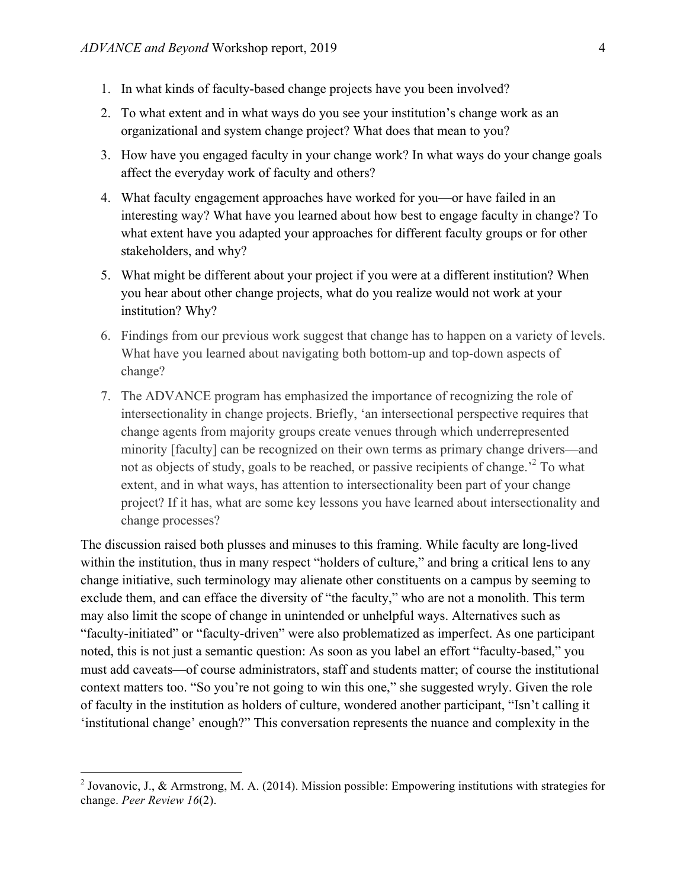- 1. In what kinds of faculty-based change projects have you been involved?
- 2. To what extent and in what ways do you see your institution's change work as an organizational and system change project? What does that mean to you?
- 3. How have you engaged faculty in your change work? In what ways do your change goals affect the everyday work of faculty and others?
- 4. What faculty engagement approaches have worked for you—or have failed in an interesting way? What have you learned about how best to engage faculty in change? To what extent have you adapted your approaches for different faculty groups or for other stakeholders, and why?
- 5. What might be different about your project if you were at a different institution? When you hear about other change projects, what do you realize would not work at your institution? Why?
- 6. Findings from our previous work suggest that change has to happen on a variety of levels. What have you learned about navigating both bottom-up and top-down aspects of change?
- 7. The ADVANCE program has emphasized the importance of recognizing the role of intersectionality in change projects. Briefly, 'an intersectional perspective requires that change agents from majority groups create venues through which underrepresented minority [faculty] can be recognized on their own terms as primary change drivers—and not as objects of study, goals to be reached, or passive recipients of change.<sup>2</sup> To what extent, and in what ways, has attention to intersectionality been part of your change project? If it has, what are some key lessons you have learned about intersectionality and change processes?

The discussion raised both plusses and minuses to this framing. While faculty are long-lived within the institution, thus in many respect "holders of culture," and bring a critical lens to any change initiative, such terminology may alienate other constituents on a campus by seeming to exclude them, and can efface the diversity of "the faculty," who are not a monolith. This term may also limit the scope of change in unintended or unhelpful ways. Alternatives such as "faculty-initiated" or "faculty-driven" were also problematized as imperfect. As one participant noted, this is not just a semantic question: As soon as you label an effort "faculty-based," you must add caveats—of course administrators, staff and students matter; of course the institutional context matters too. "So you're not going to win this one," she suggested wryly. Given the role of faculty in the institution as holders of culture, wondered another participant, "Isn't calling it 'institutional change' enough?" This conversation represents the nuance and complexity in the

<sup>&</sup>lt;sup>2</sup> Jovanovic, J., & Armstrong, M. A. (2014). Mission possible: Empowering institutions with strategies for change. *Peer Review 16*(2).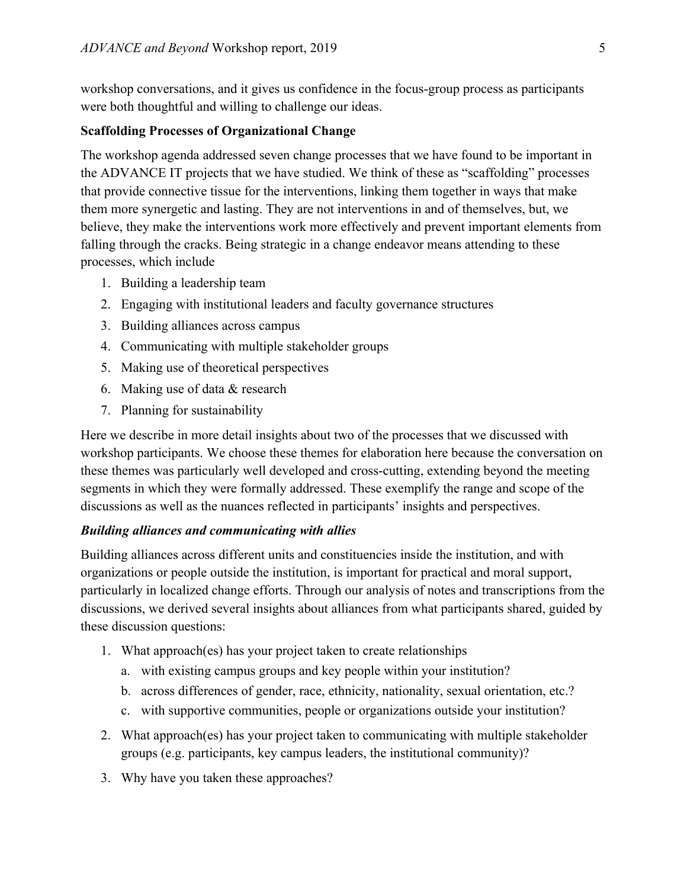workshop conversations, and it gives us confidence in the focus-group process as participants were both thoughtful and willing to challenge our ideas.

### **Scaffolding Processes of Organizational Change**

The workshop agenda addressed seven change processes that we have found to be important in the ADVANCE IT projects that we have studied. We think of these as "scaffolding" processes that provide connective tissue for the interventions, linking them together in ways that make them more synergetic and lasting. They are not interventions in and of themselves, but, we believe, they make the interventions work more effectively and prevent important elements from falling through the cracks. Being strategic in a change endeavor means attending to these processes, which include

- 1. Building a leadership team
- 2. Engaging with institutional leaders and faculty governance structures
- 3. Building alliances across campus
- 4. Communicating with multiple stakeholder groups
- 5. Making use of theoretical perspectives
- 6. Making use of data & research
- 7. Planning for sustainability

Here we describe in more detail insights about two of the processes that we discussed with workshop participants. We choose these themes for elaboration here because the conversation on these themes was particularly well developed and cross-cutting, extending beyond the meeting segments in which they were formally addressed. These exemplify the range and scope of the discussions as well as the nuances reflected in participants' insights and perspectives.

# *Building alliances and communicating with allies*

Building alliances across different units and constituencies inside the institution, and with organizations or people outside the institution, is important for practical and moral support, particularly in localized change efforts. Through our analysis of notes and transcriptions from the discussions, we derived several insights about alliances from what participants shared, guided by these discussion questions:

- 1. What approach(es) has your project taken to create relationships
	- a. with existing campus groups and key people within your institution?
	- b. across differences of gender, race, ethnicity, nationality, sexual orientation, etc.?
	- c. with supportive communities, people or organizations outside your institution?
- 2. What approach(es) has your project taken to communicating with multiple stakeholder groups (e.g. participants, key campus leaders, the institutional community)?
- 3. Why have you taken these approaches?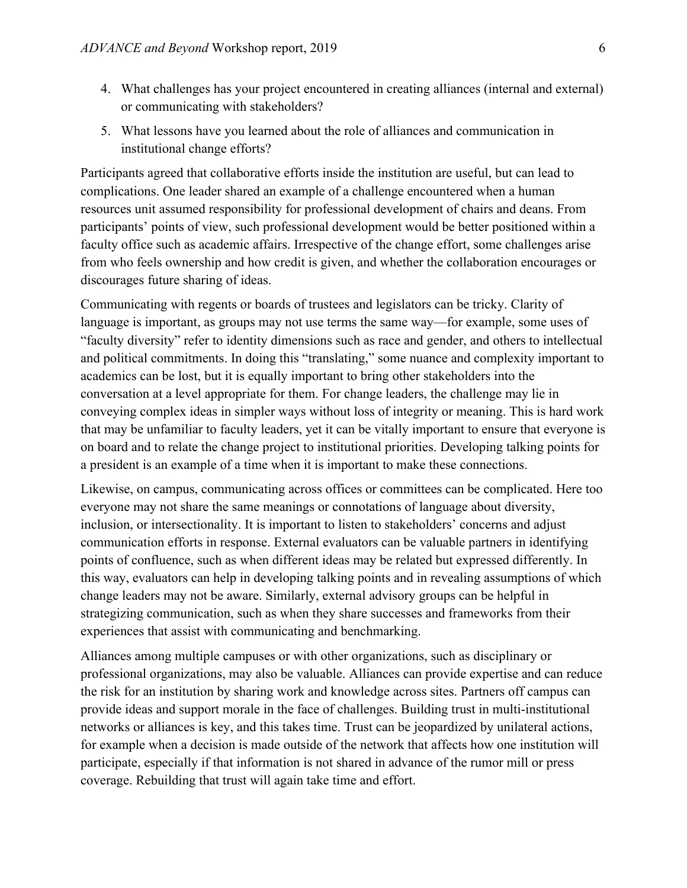- 4. What challenges has your project encountered in creating alliances (internal and external) or communicating with stakeholders?
- 5. What lessons have you learned about the role of alliances and communication in institutional change efforts?

Participants agreed that collaborative efforts inside the institution are useful, but can lead to complications. One leader shared an example of a challenge encountered when a human resources unit assumed responsibility for professional development of chairs and deans. From participants' points of view, such professional development would be better positioned within a faculty office such as academic affairs. Irrespective of the change effort, some challenges arise from who feels ownership and how credit is given, and whether the collaboration encourages or discourages future sharing of ideas.

Communicating with regents or boards of trustees and legislators can be tricky. Clarity of language is important, as groups may not use terms the same way—for example, some uses of "faculty diversity" refer to identity dimensions such as race and gender, and others to intellectual and political commitments. In doing this "translating," some nuance and complexity important to academics can be lost, but it is equally important to bring other stakeholders into the conversation at a level appropriate for them. For change leaders, the challenge may lie in conveying complex ideas in simpler ways without loss of integrity or meaning. This is hard work that may be unfamiliar to faculty leaders, yet it can be vitally important to ensure that everyone is on board and to relate the change project to institutional priorities. Developing talking points for a president is an example of a time when it is important to make these connections.

Likewise, on campus, communicating across offices or committees can be complicated. Here too everyone may not share the same meanings or connotations of language about diversity, inclusion, or intersectionality. It is important to listen to stakeholders' concerns and adjust communication efforts in response. External evaluators can be valuable partners in identifying points of confluence, such as when different ideas may be related but expressed differently. In this way, evaluators can help in developing talking points and in revealing assumptions of which change leaders may not be aware. Similarly, external advisory groups can be helpful in strategizing communication, such as when they share successes and frameworks from their experiences that assist with communicating and benchmarking.

Alliances among multiple campuses or with other organizations, such as disciplinary or professional organizations, may also be valuable. Alliances can provide expertise and can reduce the risk for an institution by sharing work and knowledge across sites. Partners off campus can provide ideas and support morale in the face of challenges. Building trust in multi-institutional networks or alliances is key, and this takes time. Trust can be jeopardized by unilateral actions, for example when a decision is made outside of the network that affects how one institution will participate, especially if that information is not shared in advance of the rumor mill or press coverage. Rebuilding that trust will again take time and effort.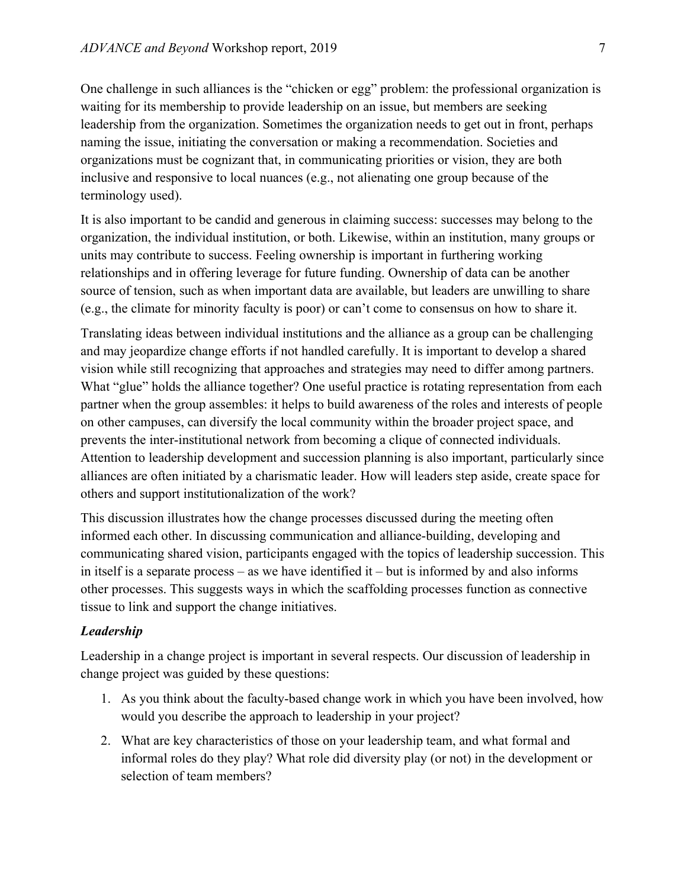One challenge in such alliances is the "chicken or egg" problem: the professional organization is waiting for its membership to provide leadership on an issue, but members are seeking leadership from the organization. Sometimes the organization needs to get out in front, perhaps naming the issue, initiating the conversation or making a recommendation. Societies and organizations must be cognizant that, in communicating priorities or vision, they are both inclusive and responsive to local nuances (e.g., not alienating one group because of the terminology used).

It is also important to be candid and generous in claiming success: successes may belong to the organization, the individual institution, or both. Likewise, within an institution, many groups or units may contribute to success. Feeling ownership is important in furthering working relationships and in offering leverage for future funding. Ownership of data can be another source of tension, such as when important data are available, but leaders are unwilling to share (e.g., the climate for minority faculty is poor) or can't come to consensus on how to share it.

Translating ideas between individual institutions and the alliance as a group can be challenging and may jeopardize change efforts if not handled carefully. It is important to develop a shared vision while still recognizing that approaches and strategies may need to differ among partners. What "glue" holds the alliance together? One useful practice is rotating representation from each partner when the group assembles: it helps to build awareness of the roles and interests of people on other campuses, can diversify the local community within the broader project space, and prevents the inter-institutional network from becoming a clique of connected individuals. Attention to leadership development and succession planning is also important, particularly since alliances are often initiated by a charismatic leader. How will leaders step aside, create space for others and support institutionalization of the work?

This discussion illustrates how the change processes discussed during the meeting often informed each other. In discussing communication and alliance-building, developing and communicating shared vision, participants engaged with the topics of leadership succession. This in itself is a separate process – as we have identified it – but is informed by and also informs other processes. This suggests ways in which the scaffolding processes function as connective tissue to link and support the change initiatives.

## *Leadership*

Leadership in a change project is important in several respects. Our discussion of leadership in change project was guided by these questions:

- 1. As you think about the faculty-based change work in which you have been involved, how would you describe the approach to leadership in your project?
- 2. What are key characteristics of those on your leadership team, and what formal and informal roles do they play? What role did diversity play (or not) in the development or selection of team members?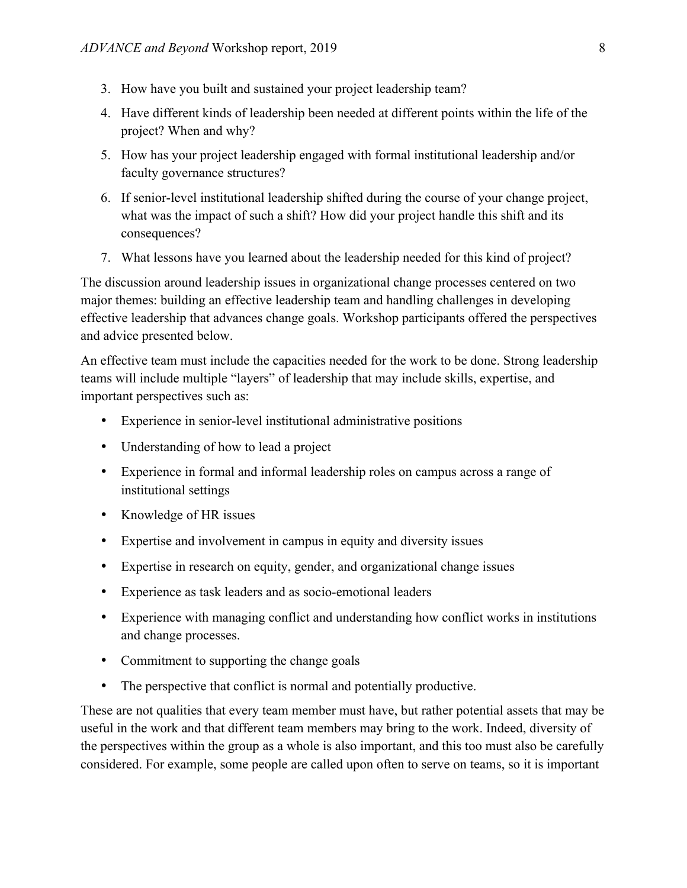- 3. How have you built and sustained your project leadership team?
- 4. Have different kinds of leadership been needed at different points within the life of the project? When and why?
- 5. How has your project leadership engaged with formal institutional leadership and/or faculty governance structures?
- 6. If senior-level institutional leadership shifted during the course of your change project, what was the impact of such a shift? How did your project handle this shift and its consequences?
- 7. What lessons have you learned about the leadership needed for this kind of project?

The discussion around leadership issues in organizational change processes centered on two major themes: building an effective leadership team and handling challenges in developing effective leadership that advances change goals. Workshop participants offered the perspectives and advice presented below.

An effective team must include the capacities needed for the work to be done. Strong leadership teams will include multiple "layers" of leadership that may include skills, expertise, and important perspectives such as:

- Experience in senior-level institutional administrative positions
- Understanding of how to lead a project
- Experience in formal and informal leadership roles on campus across a range of institutional settings
- Knowledge of HR issues
- Expertise and involvement in campus in equity and diversity issues
- Expertise in research on equity, gender, and organizational change issues
- Experience as task leaders and as socio-emotional leaders
- Experience with managing conflict and understanding how conflict works in institutions and change processes.
- Commitment to supporting the change goals
- The perspective that conflict is normal and potentially productive.

These are not qualities that every team member must have, but rather potential assets that may be useful in the work and that different team members may bring to the work. Indeed, diversity of the perspectives within the group as a whole is also important, and this too must also be carefully considered. For example, some people are called upon often to serve on teams, so it is important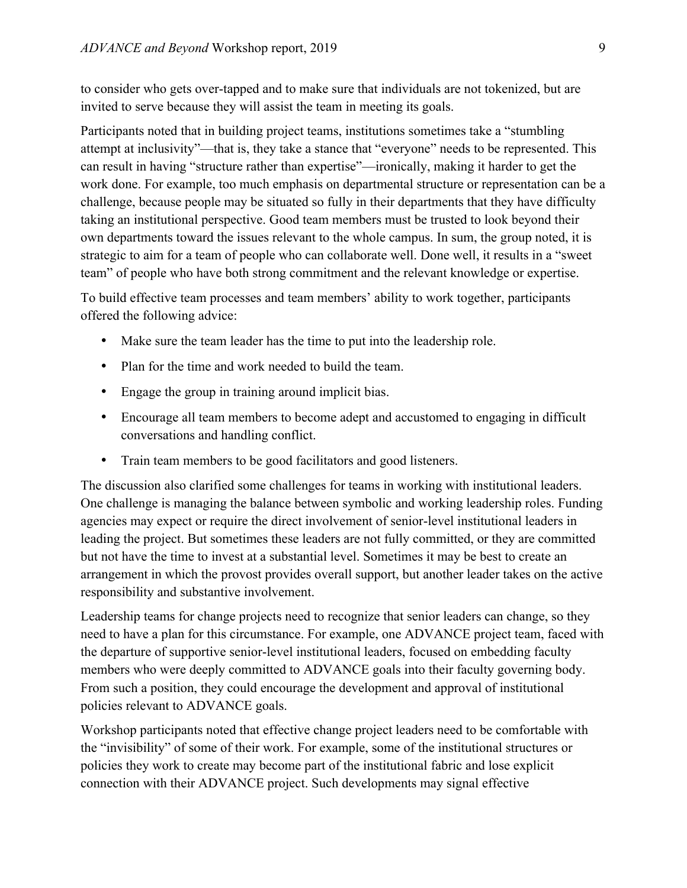to consider who gets over-tapped and to make sure that individuals are not tokenized, but are invited to serve because they will assist the team in meeting its goals.

Participants noted that in building project teams, institutions sometimes take a "stumbling attempt at inclusivity"—that is, they take a stance that "everyone" needs to be represented. This can result in having "structure rather than expertise"—ironically, making it harder to get the work done. For example, too much emphasis on departmental structure or representation can be a challenge, because people may be situated so fully in their departments that they have difficulty taking an institutional perspective. Good team members must be trusted to look beyond their own departments toward the issues relevant to the whole campus. In sum, the group noted, it is strategic to aim for a team of people who can collaborate well. Done well, it results in a "sweet team" of people who have both strong commitment and the relevant knowledge or expertise.

To build effective team processes and team members' ability to work together, participants offered the following advice:

- Make sure the team leader has the time to put into the leadership role.
- Plan for the time and work needed to build the team.
- Engage the group in training around implicit bias.
- Encourage all team members to become adept and accustomed to engaging in difficult conversations and handling conflict.
- Train team members to be good facilitators and good listeners.

The discussion also clarified some challenges for teams in working with institutional leaders. One challenge is managing the balance between symbolic and working leadership roles. Funding agencies may expect or require the direct involvement of senior-level institutional leaders in leading the project. But sometimes these leaders are not fully committed, or they are committed but not have the time to invest at a substantial level. Sometimes it may be best to create an arrangement in which the provost provides overall support, but another leader takes on the active responsibility and substantive involvement.

Leadership teams for change projects need to recognize that senior leaders can change, so they need to have a plan for this circumstance. For example, one ADVANCE project team, faced with the departure of supportive senior-level institutional leaders, focused on embedding faculty members who were deeply committed to ADVANCE goals into their faculty governing body. From such a position, they could encourage the development and approval of institutional policies relevant to ADVANCE goals.

Workshop participants noted that effective change project leaders need to be comfortable with the "invisibility" of some of their work. For example, some of the institutional structures or policies they work to create may become part of the institutional fabric and lose explicit connection with their ADVANCE project. Such developments may signal effective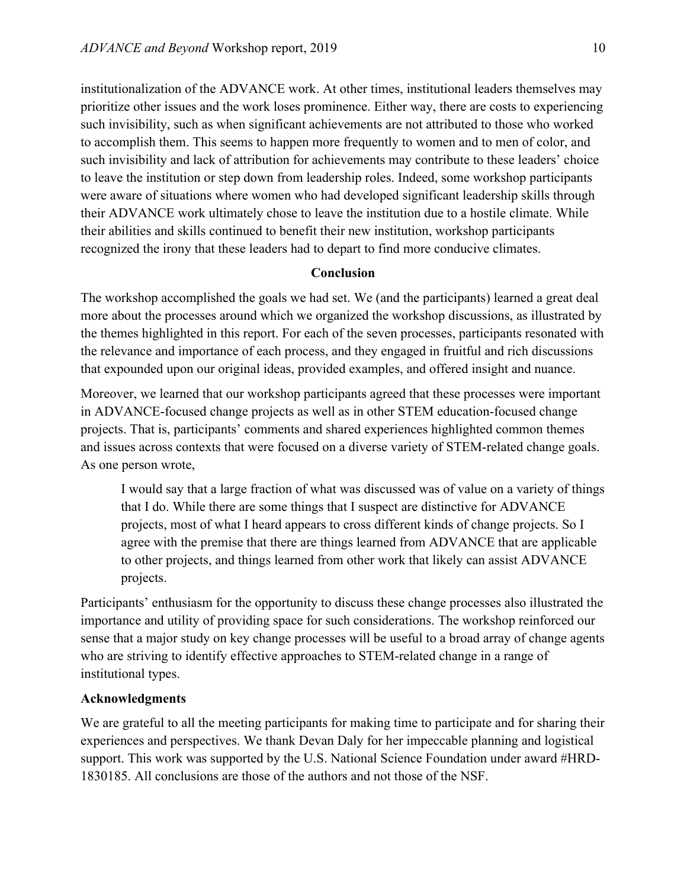institutionalization of the ADVANCE work. At other times, institutional leaders themselves may prioritize other issues and the work loses prominence. Either way, there are costs to experiencing such invisibility, such as when significant achievements are not attributed to those who worked to accomplish them. This seems to happen more frequently to women and to men of color, and such invisibility and lack of attribution for achievements may contribute to these leaders' choice to leave the institution or step down from leadership roles. Indeed, some workshop participants were aware of situations where women who had developed significant leadership skills through their ADVANCE work ultimately chose to leave the institution due to a hostile climate. While their abilities and skills continued to benefit their new institution, workshop participants recognized the irony that these leaders had to depart to find more conducive climates.

#### **Conclusion**

The workshop accomplished the goals we had set. We (and the participants) learned a great deal more about the processes around which we organized the workshop discussions, as illustrated by the themes highlighted in this report. For each of the seven processes, participants resonated with the relevance and importance of each process, and they engaged in fruitful and rich discussions that expounded upon our original ideas, provided examples, and offered insight and nuance.

Moreover, we learned that our workshop participants agreed that these processes were important in ADVANCE-focused change projects as well as in other STEM education-focused change projects. That is, participants' comments and shared experiences highlighted common themes and issues across contexts that were focused on a diverse variety of STEM-related change goals. As one person wrote,

I would say that a large fraction of what was discussed was of value on a variety of things that I do. While there are some things that I suspect are distinctive for ADVANCE projects, most of what I heard appears to cross different kinds of change projects. So I agree with the premise that there are things learned from ADVANCE that are applicable to other projects, and things learned from other work that likely can assist ADVANCE projects.

Participants' enthusiasm for the opportunity to discuss these change processes also illustrated the importance and utility of providing space for such considerations. The workshop reinforced our sense that a major study on key change processes will be useful to a broad array of change agents who are striving to identify effective approaches to STEM-related change in a range of institutional types.

#### **Acknowledgments**

We are grateful to all the meeting participants for making time to participate and for sharing their experiences and perspectives. We thank Devan Daly for her impeccable planning and logistical support. This work was supported by the U.S. National Science Foundation under award #HRD-1830185. All conclusions are those of the authors and not those of the NSF.